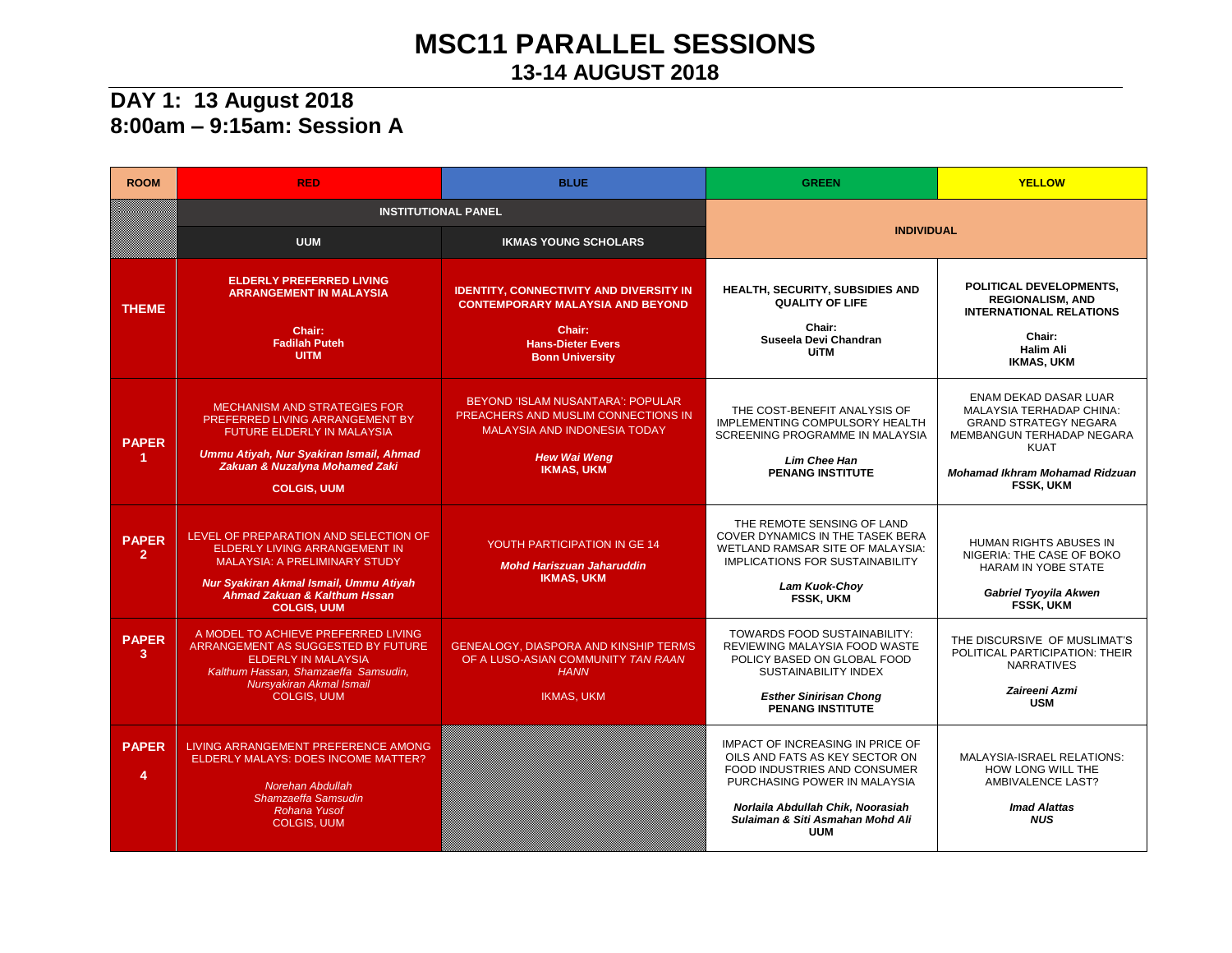## **MSC11 PARALLEL SESSIONS 13-14 AUGUST 2018**

#### **DAY 1: 13 August 2018 8:00am – 9:15am: Session A**

| <b>ROOM</b>                          | <b>RED</b>                                                                                                                                                                                                     | <b>BLUE</b>                                                                                                                                                 | <b>GREEN</b>                                                                                                                                                                                                              | <b>YELLOW</b>                                                                                                                                                                                     |
|--------------------------------------|----------------------------------------------------------------------------------------------------------------------------------------------------------------------------------------------------------------|-------------------------------------------------------------------------------------------------------------------------------------------------------------|---------------------------------------------------------------------------------------------------------------------------------------------------------------------------------------------------------------------------|---------------------------------------------------------------------------------------------------------------------------------------------------------------------------------------------------|
|                                      | <b>INSTITUTIONAL PANEL</b>                                                                                                                                                                                     |                                                                                                                                                             |                                                                                                                                                                                                                           |                                                                                                                                                                                                   |
|                                      | <b>UUM</b>                                                                                                                                                                                                     | <b>IKMAS YOUNG SCHOLARS</b>                                                                                                                                 | <b>INDIVIDUAL</b>                                                                                                                                                                                                         |                                                                                                                                                                                                   |
| <b>THEME</b>                         | <b>ELDERLY PREFERRED LIVING</b><br><b>ARRANGEMENT IN MALAYSIA</b><br>Chair:<br><b>Fadilah Puteh</b><br><b>UITM</b>                                                                                             | <b>IDENTITY, CONNECTIVITY AND DIVERSITY IN</b><br><b>CONTEMPORARY MALAYSIA AND BEYOND</b><br>Chair:<br><b>Hans-Dieter Evers</b><br><b>Bonn University</b>   | <b>HEALTH, SECURITY, SUBSIDIES AND</b><br><b>QUALITY OF LIFE</b><br>Chair:<br>Suseela Devi Chandran<br><b>UiTM</b>                                                                                                        | POLITICAL DEVELOPMENTS,<br><b>REGIONALISM, AND</b><br><b>INTERNATIONAL RELATIONS</b><br>Chair:<br><b>Halim Ali</b><br><b>IKMAS, UKM</b>                                                           |
| <b>PAPER</b><br>$\blacktriangleleft$ | <b>MECHANISM AND STRATEGIES FOR</b><br>PREFERRED LIVING ARRANGEMENT BY<br><b>FUTURE ELDERLY IN MALAYSIA</b><br>Ummu Atiyah, Nur Syakiran Ismail, Ahmad<br>Zakuan & Nuzalyna Mohamed Zaki<br><b>COLGIS, UUM</b> | BEYOND 'ISLAM NUSANTARA': POPULAR<br>PREACHERS AND MUSLIM CONNECTIONS IN<br><b>MALAYSIA AND INDONESIA TODAY</b><br><b>Hew Wai Weng</b><br><b>IKMAS, UKM</b> | THE COST-BENEFIT ANALYSIS OF<br>IMPLEMENTING COMPULSORY HEALTH<br>SCREENING PROGRAMME IN MALAYSIA<br><b>Lim Chee Han</b><br><b>PENANG INSTITUTE</b>                                                                       | ENAM DEKAD DASAR LUAR<br><b>MALAYSIA TERHADAP CHINA:</b><br><b>GRAND STRATEGY NEGARA</b><br>MEMBANGUN TERHADAP NEGARA<br><b>KUAT</b><br><b>Mohamad Ikhram Mohamad Ridzuan</b><br><b>FSSK. UKM</b> |
| <b>PAPER</b><br>2 <sup>1</sup>       | LEVEL OF PREPARATION AND SELECTION OF<br>ELDERLY LIVING ARRANGEMENT IN<br><b>MALAYSIA: A PRELIMINARY STUDY</b><br>Nur Syakiran Akmal Ismail, Ummu Atiyah<br>Ahmad Zakuan & Kalthum Hssan<br><b>COLGIS, UUM</b> | YOUTH PARTICIPATION IN GE 14<br><b>Mohd Hariszuan Jaharuddin</b><br><b>IKMAS, UKM</b>                                                                       | THE REMOTE SENSING OF LAND<br><b>COVER DYNAMICS IN THE TASEK BERA</b><br>WETLAND RAMSAR SITE OF MALAYSIA:<br><b>IMPLICATIONS FOR SUSTAINABILITY</b><br>Lam Kuok-Choy<br>FSSK, UKM                                         | HUMAN RIGHTS ABUSES IN<br>NIGERIA: THE CASE OF BOKO<br>HARAM IN YOBE STATE<br><b>Gabriel Tyoyila Akwen</b><br><b>FSSK. UKM</b>                                                                    |
| <b>PAPER</b><br>3                    | A MODEL TO ACHIEVE PREFERRED LIVING<br>ARRANGEMENT AS SUGGESTED BY FUTURE<br><b>ELDERLY IN MALAYSIA</b><br>Kalthum Hassan, Shamzaeffa Samsudin,<br>Nursyakiran Akmal Ismail<br><b>COLGIS, UUM</b>              | GENEALOGY, DIASPORA AND KINSHIP TERMS<br>OF A LUSO-ASIAN COMMUNITY TAN RAAN<br><b>HANN</b><br><b>IKMAS, UKM</b>                                             | <b>TOWARDS FOOD SUSTAINABILITY:</b><br>REVIEWING MALAYSIA FOOD WASTE<br>POLICY BASED ON GLOBAL FOOD<br><b>SUSTAINABILITY INDEX</b><br><b>Esther Sinirisan Chong</b><br><b>PENANG INSTITUTE</b>                            | THE DISCURSIVE OF MUSLIMAT'S<br>POLITICAL PARTICIPATION: THEIR<br><b>NARRATIVES</b><br>Zaireeni Azmi<br><b>USM</b>                                                                                |
| <b>PAPER</b><br>4                    | LIVING ARRANGEMENT PREFERENCE AMONG<br>ELDERLY MALAYS: DOES INCOME MATTER?<br>Norehan Abdullah<br>Shamzaeffa Samsudin<br>Rohana Yusof<br><b>COLGIS, UUM</b>                                                    |                                                                                                                                                             | IMPACT OF INCREASING IN PRICE OF<br>OILS AND FATS AS KEY SECTOR ON<br>FOOD INDUSTRIES AND CONSUMER<br>PURCHASING POWER IN MALAYSIA<br>Norlaila Abdullah Chik, Noorasiah<br>Sulaiman & Siti Asmahan Mohd Ali<br><b>UUM</b> | <b>MALAYSIA-ISRAEL RELATIONS:</b><br>HOW LONG WILL THE<br><b>AMBIVALENCE LAST?</b><br><b>Imad Alattas</b><br><b>NUS</b>                                                                           |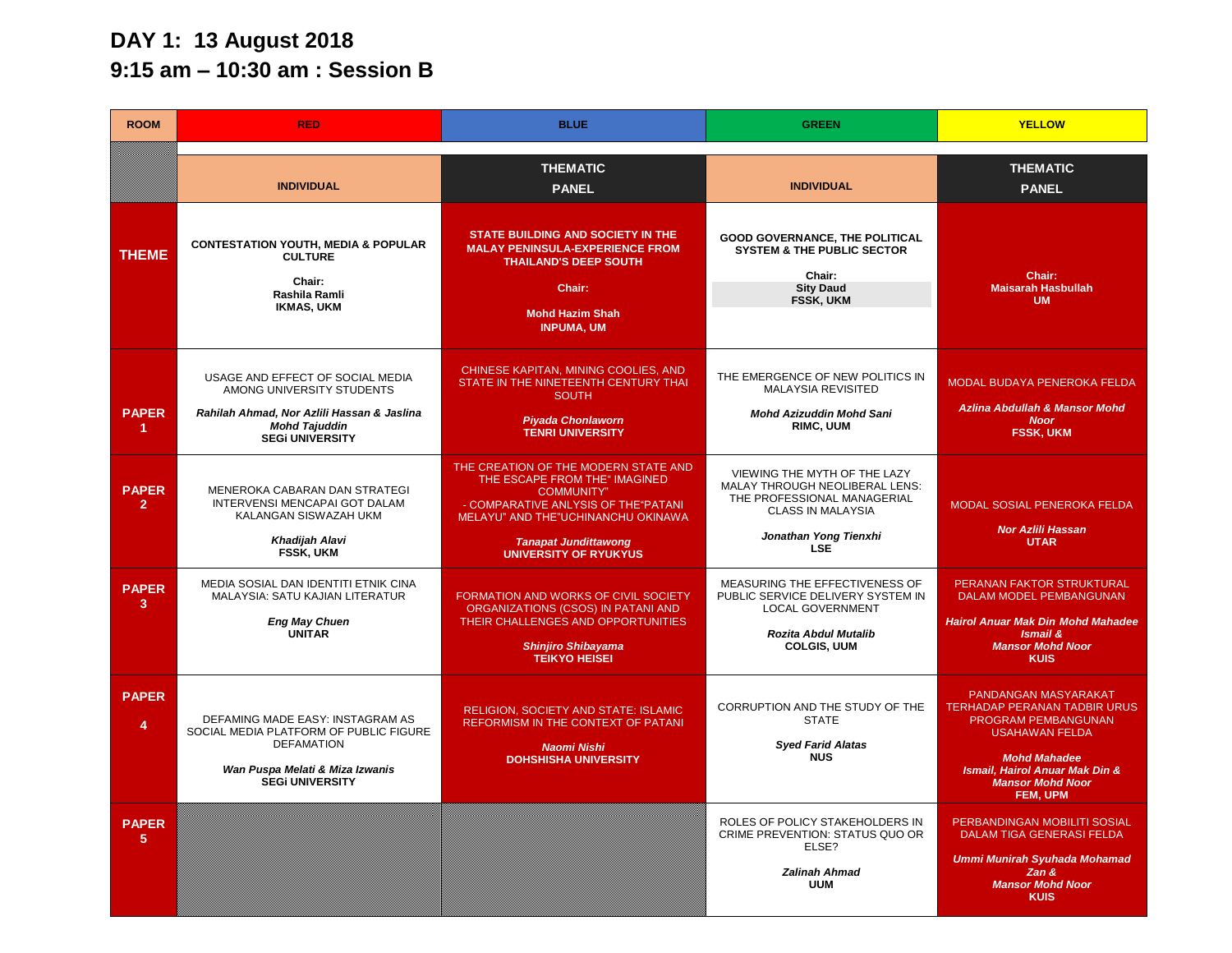## **DAY 1: 13 August 2018 9:15 am – 10:30 am : Session B**

| <b>ROOM</b>                    | <b>RED</b>                                                                                                                                                    | <b>BLUE</b>                                                                                                                                                                                                                             | <b>GREEN</b>                                                                                                                                                     | <b>YELLOW</b>                                                                                                                                                                                               |
|--------------------------------|---------------------------------------------------------------------------------------------------------------------------------------------------------------|-----------------------------------------------------------------------------------------------------------------------------------------------------------------------------------------------------------------------------------------|------------------------------------------------------------------------------------------------------------------------------------------------------------------|-------------------------------------------------------------------------------------------------------------------------------------------------------------------------------------------------------------|
|                                | <b>INDIVIDUAL</b>                                                                                                                                             | <b>THEMATIC</b><br><b>PANEL</b>                                                                                                                                                                                                         | <b>INDIVIDUAL</b>                                                                                                                                                | <b>THEMATIC</b><br><b>PANEL</b>                                                                                                                                                                             |
| <b>THEME</b>                   | <b>CONTESTATION YOUTH, MEDIA &amp; POPULAR</b><br><b>CULTURE</b><br>Chair:<br>Rashila Ramli<br><b>IKMAS, UKM</b>                                              | STATE BUILDING AND SOCIETY IN THE<br><b>MALAY PENINSULA-EXPERIENCE FROM</b><br><b>THAILAND'S DEEP SOUTH</b><br>Chair:<br><b>Mohd Hazim Shah</b><br><b>INPUMA, UM</b>                                                                    | <b>GOOD GOVERNANCE, THE POLITICAL</b><br><b>SYSTEM &amp; THE PUBLIC SECTOR</b><br>Chair:<br><b>Sity Daud</b><br><b>FSSK, UKM</b>                                 | Chair:<br><b>Maisarah Hasbullah</b><br><b>UM</b>                                                                                                                                                            |
| <b>PAPER</b><br>1              | USAGE AND EFFECT OF SOCIAL MEDIA<br>AMONG UNIVERSITY STUDENTS<br>Rahilah Ahmad, Nor Azlili Hassan & Jaslina<br><b>Mohd Tajuddin</b><br><b>SEGI UNIVERSITY</b> | CHINESE KAPITAN, MINING COOLIES, AND<br>STATE IN THE NINETEENTH CENTURY THAI<br><b>SOUTH</b><br><b>Piyada Chonlaworn</b><br><b>TENRI UNIVERSITY</b>                                                                                     | THE EMERGENCE OF NEW POLITICS IN<br><b>MALAYSIA REVISITED</b><br><b>Mohd Azizuddin Mohd Sani</b><br>RIMC, UUM                                                    | MODAL BUDAYA PENEROKA FELDA<br><b>Azlina Abdullah &amp; Mansor Mohd</b><br><b>Noor</b><br><b>FSSK, UKM</b>                                                                                                  |
| <b>PAPER</b><br>$\overline{2}$ | MENEROKA CABARAN DAN STRATEGI<br>INTERVENSI MENCAPAI GOT DALAM<br>KALANGAN SISWAZAH UKM<br>Khadijah Alavi<br>FSSK, UKM                                        | THE CREATION OF THE MODERN STATE AND<br>THE ESCAPE FROM THE" IMAGINED<br><b>COMMUNITY"</b><br>- COMPARATIVE ANLYSIS OF THE "PATANI<br>MELAYU" AND THE"UCHINANCHU OKINAWA<br><b>Tanapat Jundittawong</b><br><b>UNIVERSITY OF RYUKYUS</b> | VIEWING THE MYTH OF THE LAZY<br><b>MALAY THROUGH NEOLIBERAL LENS:</b><br>THE PROFESSIONAL MANAGERIAL<br>CLASS IN MALAYSIA<br>Jonathan Yong Tienxhi<br><b>LSE</b> | MODAL SOSIAL PENEROKA FELDA<br><b>Nor Azlili Hassan</b><br><b>UTAR</b>                                                                                                                                      |
| <b>PAPER</b><br>3              | MEDIA SOSIAL DAN IDENTITI ETNIK CINA<br>MALAYSIA: SATU KAJIAN LITERATUR<br><b>Eng May Chuen</b><br>UNITAR                                                     | FORMATION AND WORKS OF CIVIL SOCIETY<br>ORGANIZATIONS (CSOS) IN PATANI AND<br>THEIR CHALLENGES AND OPPORTUNITIES<br><b>Shinjiro Shibayama</b><br><b>TEIKYO HEISEI</b>                                                                   | MEASURING THE EFFECTIVENESS OF<br>PUBLIC SERVICE DELIVERY SYSTEM IN<br><b>LOCAL GOVERNMENT</b><br>Rozita Abdul Mutalib<br><b>COLGIS, UUM</b>                     | PERANAN FAKTOR STRUKTURAL<br>DALAM MODEL PEMBANGUNAN<br><b>Hairol Anuar Mak Din Mohd Mahadee</b><br><b>Ismail &amp;</b><br><b>Mansor Mohd Noor</b><br><b>KUIS</b>                                           |
| <b>PAPER</b><br>$\overline{4}$ | DEFAMING MADE EASY: INSTAGRAM AS<br>SOCIAL MEDIA PLATFORM OF PUBLIC FIGURE<br><b>DEFAMATION</b><br>Wan Puspa Melati & Miza Izwanis<br><b>SEGI UNIVERSITY</b>  | <b>RELIGION, SOCIETY AND STATE: ISLAMIC</b><br>REFORMISM IN THE CONTEXT OF PATANI<br>Naomi Nishi<br><b>DOHSHISHA UNIVERSITY</b>                                                                                                         | CORRUPTION AND THE STUDY OF THE<br><b>STATE</b><br><b>Sved Farid Alatas</b><br><b>NUS</b>                                                                        | PANDANGAN MASYARAKAT<br><b>TERHADAP PERANAN TADBIR URUS</b><br>PROGRAM PEMBANGUNAN<br><b>USAHAWAN FELDA</b><br><b>Mohd Mahadee</b><br>Ismail, Hairol Anuar Mak Din &<br><b>Mansor Mohd Noor</b><br>FEM, UPM |
| <b>PAPER</b><br>5              |                                                                                                                                                               |                                                                                                                                                                                                                                         | ROLES OF POLICY STAKEHOLDERS IN<br>CRIME PREVENTION: STATUS QUO OR<br>ELSE?<br><b>Zalinah Ahmad</b><br><b>UUM</b>                                                | PERBANDINGAN MOBILITI SOSIAL<br><b>DALAM TIGA GENERASI FELDA</b><br><b>Ummi Munirah Syuhada Mohamad</b><br>Zan &<br><b>Mansor Mohd Noor</b><br><b>KUIS</b>                                                  |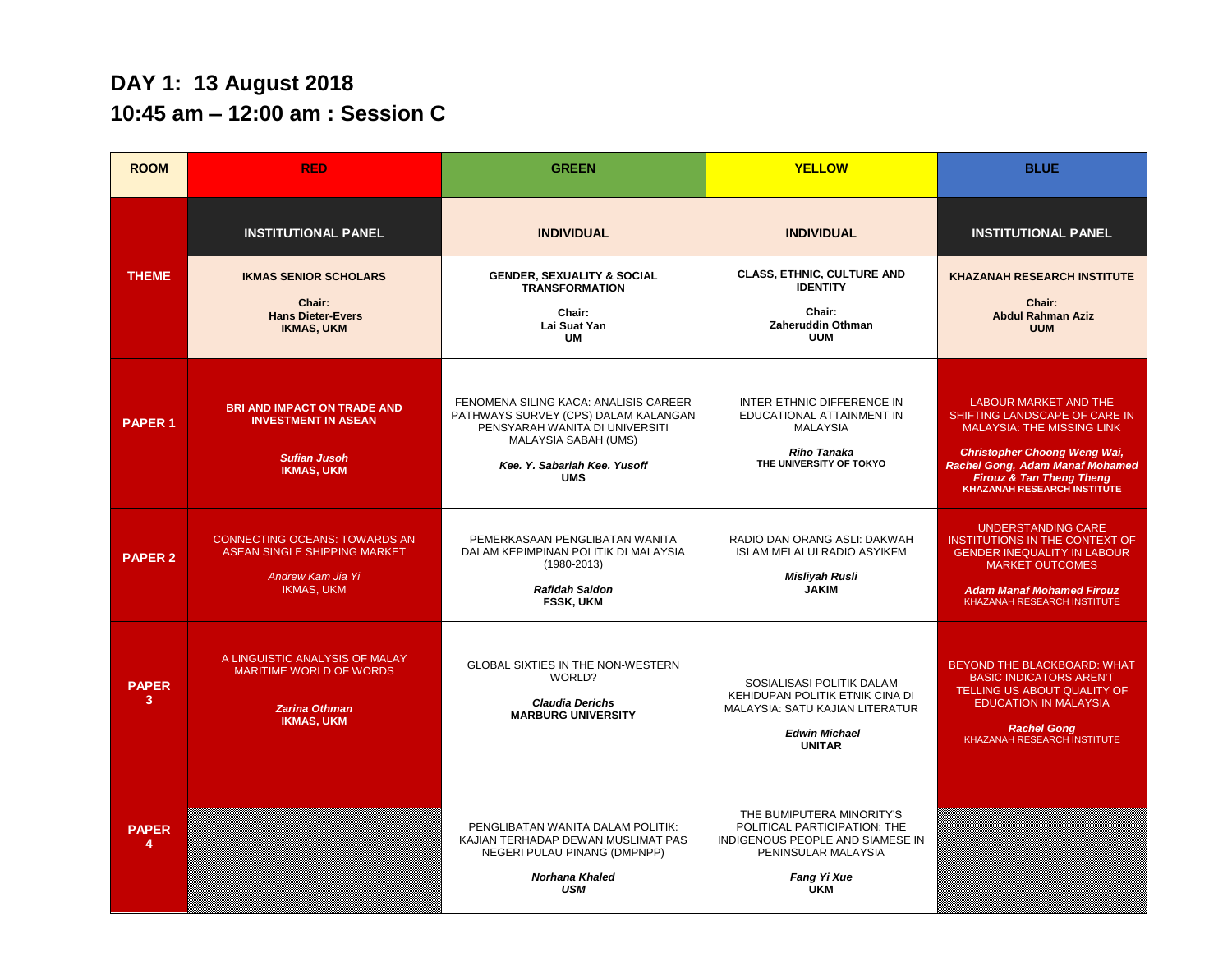### **DAY 1: 13 August 2018 10:45 am – 12:00 am : Session C**

| <b>ROOM</b>       | <b>RED</b>                                                                                                     | <b>GREEN</b>                                                                                                                                                                          | <b>YELLOW</b>                                                                                                                                     | <b>BLUE</b>                                                                                                                                                                                                                                               |
|-------------------|----------------------------------------------------------------------------------------------------------------|---------------------------------------------------------------------------------------------------------------------------------------------------------------------------------------|---------------------------------------------------------------------------------------------------------------------------------------------------|-----------------------------------------------------------------------------------------------------------------------------------------------------------------------------------------------------------------------------------------------------------|
|                   | <b>INSTITUTIONAL PANEL</b>                                                                                     | <b>INDIVIDUAL</b>                                                                                                                                                                     | <b>INDIVIDUAL</b>                                                                                                                                 | <b>INSTITUTIONAL PANEL</b>                                                                                                                                                                                                                                |
| <b>THEME</b>      | <b>IKMAS SENIOR SCHOLARS</b><br>Chair:<br><b>Hans Dieter-Evers</b><br><b>IKMAS, UKM</b>                        | <b>GENDER, SEXUALITY &amp; SOCIAL</b><br><b>TRANSFORMATION</b><br>Chair:<br>Lai Suat Yan<br><b>UM</b>                                                                                 | <b>CLASS, ETHNIC, CULTURE AND</b><br><b>IDENTITY</b><br>Chair:<br>Zaheruddin Othman<br><b>UUM</b>                                                 | <b>KHAZANAH RESEARCH INSTITUTE</b><br>Chair:<br><b>Abdul Rahman Aziz</b><br><b>UUM</b>                                                                                                                                                                    |
| <b>PAPER 1</b>    | <b>BRI AND IMPACT ON TRADE AND</b><br><b>INVESTMENT IN ASEAN</b><br><b>Sufian Jusoh</b><br><b>IKMAS, UKM</b>   | FENOMENA SILING KACA: ANALISIS CAREER<br>PATHWAYS SURVEY (CPS) DALAM KALANGAN<br>PENSYARAH WANITA DI UNIVERSITI<br>MALAYSIA SABAH (UMS)<br>Kee, Y. Sabariah Kee, Yusoff<br><b>UMS</b> | INTER-ETHNIC DIFFERENCE IN<br>EDUCATIONAL ATTAINMENT IN<br><b>MALAYSIA</b><br><b>Riho Tanaka</b><br>THE UNIVERSITY OF TOKYO                       | <b>LABOUR MARKET AND THE</b><br>SHIFTING LANDSCAPE OF CARE IN<br><b>MALAYSIA: THE MISSING LINK</b><br><b>Christopher Choong Weng Wai,</b><br>Rachel Gong, Adam Manaf Mohamed<br><b>Firouz &amp; Tan Theng Theng</b><br><b>KHAZANAH RESEARCH INSTITUTE</b> |
| <b>PAPER 2</b>    | <b>CONNECTING OCEANS: TOWARDS AN</b><br>ASEAN SINGLE SHIPPING MARKET<br>Andrew Kam Jia Yi<br><b>IKMAS, UKM</b> | PEMERKASAAN PENGLIBATAN WANITA<br>DALAM KEPIMPINAN POLITIK DI MALAYSIA<br>$(1980 - 2013)$<br><b>Rafidah Saidon</b><br><b>FSSK, UKM</b>                                                | RADIO DAN ORANG ASLI: DAKWAH<br><b>ISLAM MELALUI RADIO ASYIKFM</b><br><b>Misliyah Rusli</b><br><b>JAKIM</b>                                       | <b>UNDERSTANDING CARE</b><br><b>INSTITUTIONS IN THE CONTEXT OF</b><br><b>GENDER INEQUALITY IN LABOUR</b><br><b>MARKET OUTCOMES</b><br><b>Adam Manaf Mohamed Firouz</b><br>KHAZANAH RESEARCH INSTITUTE                                                     |
| <b>PAPER</b><br>3 | A LINGUISTIC ANALYSIS OF MALAY<br><b>MARITIME WORLD OF WORDS</b><br><b>Zarina Othman</b><br><b>IKMAS, UKM</b>  | <b>GLOBAL SIXTIES IN THE NON-WESTERN</b><br>WORLD?<br><b>Claudia Derichs</b><br><b>MARBURG UNIVERSITY</b>                                                                             | SOSIALISASI POLITIK DALAM<br>KEHIDUPAN POLITIK ETNIK CINA DI<br><b>MALAYSIA: SATU KAJIAN LITERATUR</b><br><b>Edwin Michael</b><br><b>UNITAR</b>   | BEYOND THE BLACKBOARD: WHAT<br><b>BASIC INDICATORS AREN'T</b><br>TELLING US ABOUT QUALITY OF<br><b>EDUCATION IN MALAYSIA</b><br><b>Rachel Gong</b><br>KHAZANAH RESEARCH INSTITUTE                                                                         |
| <b>PAPER</b>      |                                                                                                                | PENGLIBATAN WANITA DALAM POLITIK:<br>KAJIAN TERHADAP DEWAN MUSLIMAT PAS<br>NEGERI PULAU PINANG (DMPNPP)<br>Norhana Khaled<br><b>USM</b>                                               | THE BUMIPUTERA MINORITY'S<br>POLITICAL PARTICIPATION: THE<br>INDIGENOUS PEOPLE AND SIAMESE IN<br>PENINSULAR MALAYSIA<br>Fang Yi Xue<br><b>UKM</b> |                                                                                                                                                                                                                                                           |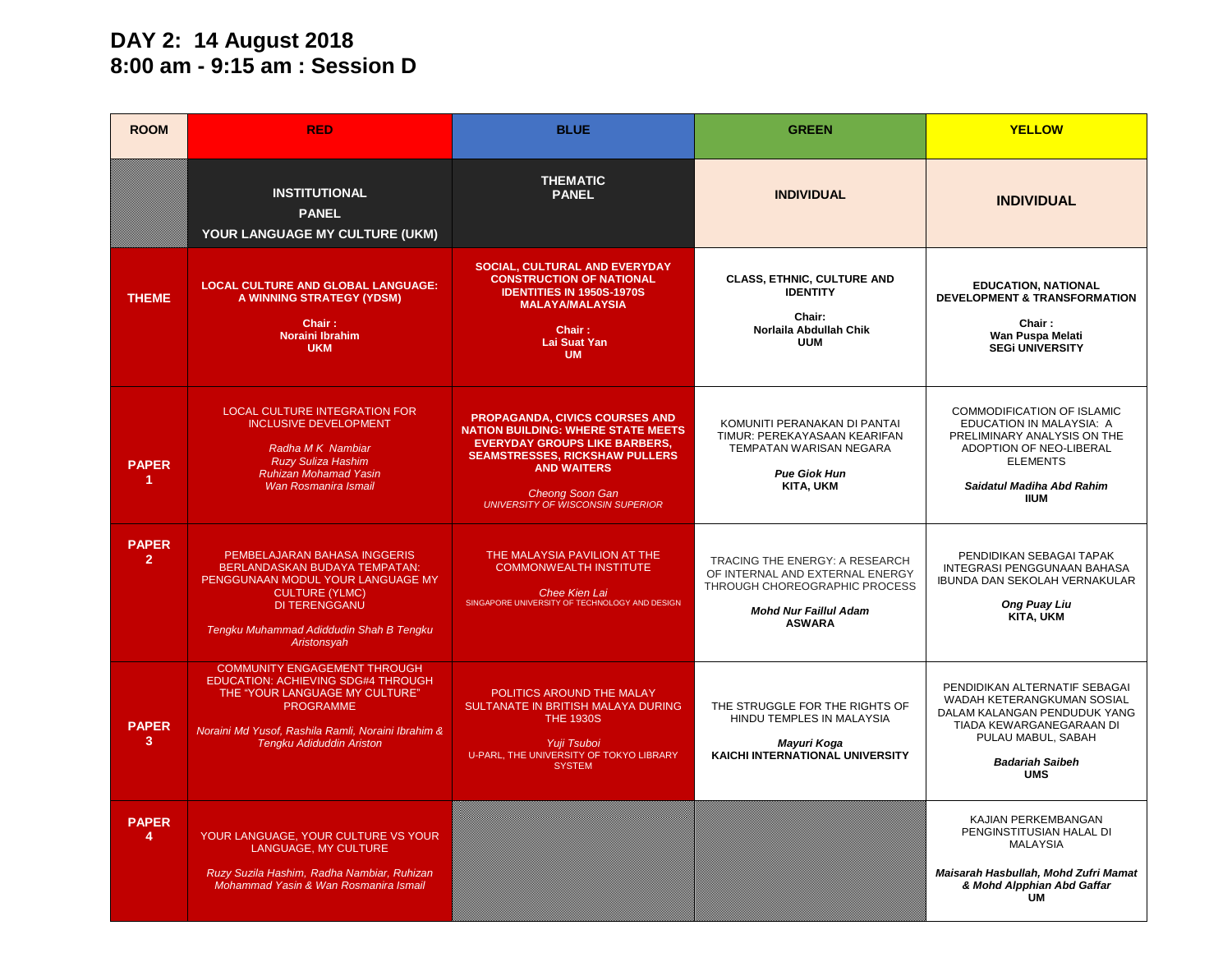#### **DAY 2: 14 August 2018 8:00 am - 9:15 am : Session D**

| <b>ROOM</b>                    | <b>RED</b>                                                                                                                                                                                                               | <b>BLUE</b>                                                                                                                                                                                                                                                    | <b>GREEN</b>                                                                                                                                        | <b>YELLOW</b>                                                                                                                                                                         |
|--------------------------------|--------------------------------------------------------------------------------------------------------------------------------------------------------------------------------------------------------------------------|----------------------------------------------------------------------------------------------------------------------------------------------------------------------------------------------------------------------------------------------------------------|-----------------------------------------------------------------------------------------------------------------------------------------------------|---------------------------------------------------------------------------------------------------------------------------------------------------------------------------------------|
|                                | <b>INSTITUTIONAL</b><br><b>PANEL</b><br>YOUR LANGUAGE MY CULTURE (UKM)                                                                                                                                                   | <b>THEMATIC</b><br><b>PANEL</b>                                                                                                                                                                                                                                | <b>INDIVIDUAL</b>                                                                                                                                   | <b>INDIVIDUAL</b>                                                                                                                                                                     |
| <b>THEME</b>                   | <b>LOCAL CULTURE AND GLOBAL LANGUAGE:</b><br>A WINNING STRATEGY (YDSM)<br>Chair:<br>Noraini Ibrahim<br><b>UKM</b>                                                                                                        | SOCIAL, CULTURAL AND EVERYDAY<br><b>CONSTRUCTION OF NATIONAL</b><br><b>IDENTITIES IN 1950S-1970S</b><br><b>MALAYA/MALAYSIA</b><br>Chair:<br><b>Lai Suat Yan</b><br><b>UM</b>                                                                                   | <b>CLASS, ETHNIC, CULTURE AND</b><br><b>IDENTITY</b><br>Chair:<br>Norlaila Abdullah Chik<br><b>UUM</b>                                              | <b>EDUCATION, NATIONAL</b><br>DEVELOPMENT & TRANSFORMATION<br>Chair:<br>Wan Puspa Melati<br><b>SEGI UNIVERSITY</b>                                                                    |
| <b>PAPER</b><br>-1.            | LOCAL CULTURE INTEGRATION FOR<br><b>INCLUSIVE DEVELOPMENT</b><br>Radha M K Nambiar<br><b>Ruzy Suliza Hashim</b><br><b>Ruhizan Mohamad Yasin</b><br>Wan Rosmanira Ismail                                                  | <b>PROPAGANDA, CIVICS COURSES AND</b><br><b>NATION BUILDING: WHERE STATE MEETS</b><br><b>EVERYDAY GROUPS LIKE BARBERS,</b><br><b>SEAMSTRESSES, RICKSHAW PULLERS</b><br><b>AND WAITERS</b><br><b>Cheong Soon Gan</b><br><b>UNIVERSITY OF WISCONSIN SUPERIOR</b> | KOMUNITI PERANAKAN DI PANTAI<br>TIMUR: PEREKAYASAAN KEARIFAN<br><b>TEMPATAN WARISAN NEGARA</b><br><b>Pue Giok Hun</b><br><b>KITA, UKM</b>           | COMMODIFICATION OF ISLAMIC<br>EDUCATION IN MALAYSIA: A<br>PRELIMINARY ANALYSIS ON THE<br>ADOPTION OF NEO-LIBERAL<br><b>ELEMENTS</b><br>Saidatul Madiha Abd Rahim<br><b>IIUM</b>       |
| <b>PAPER</b><br>$\overline{2}$ | PEMBELAJARAN BAHASA INGGERIS<br>BERLANDASKAN BUDAYA TEMPATAN:<br>PENGGUNAAN MODUL YOUR LANGUAGE MY<br><b>CULTURE (YLMC)</b><br><b>DI TERENGGANU</b><br>Tengku Muhammad Adiddudin Shah B Tengku<br>Aristonsyah            | THE MALAYSIA PAVILION AT THE<br><b>COMMONWEALTH INSTITUTE</b><br><b>Chee Kien Lai</b><br>SINGAPORE UNIVERSITY OF TECHNOLOGY AND DESIGN                                                                                                                         | TRACING THE ENERGY: A RESEARCH<br>OF INTERNAL AND EXTERNAL ENERGY<br>THROUGH CHOREOGRAPHIC PROCESS<br><b>Mohd Nur Faillul Adam</b><br><b>ASWARA</b> | PENDIDIKAN SEBAGAI TAPAK<br>INTEGRASI PENGGUNAAN BAHASA<br><b>IBUNDA DAN SEKOLAH VERNAKULAR</b><br><b>Ong Puay Liu</b><br>KITA, UKM                                                   |
| <b>PAPER</b><br>3              | <b>COMMUNITY ENGAGEMENT THROUGH</b><br>EDUCATION: ACHIEVING SDG#4 THROUGH<br>THE "YOUR LANGUAGE MY CULTURE"<br><b>PROGRAMME</b><br>Noraini Md Yusof, Rashila Ramli, Noraini Ibrahim &<br><b>Tengku Adiduddin Ariston</b> | POLITICS AROUND THE MALAY<br>SULTANATE IN BRITISH MALAYA DURING<br><b>THE 1930S</b><br>Yuji Tsuboi<br>U-PARL, THE UNIVERSITY OF TOKYO LIBRARY<br><b>SYSTEM</b>                                                                                                 | THE STRUGGLE FOR THE RIGHTS OF<br>HINDU TEMPLES IN MALAYSIA<br>Mayuri Koga<br><b>KAICHI INTERNATIONAL UNIVERSITY</b>                                | PENDIDIKAN ALTERNATIF SEBAGAI<br>WADAH KETERANGKUMAN SOSIAL<br>DALAM KALANGAN PENDUDUK YANG<br>TIADA KEWARGANEGARAAN DI<br>PULAU MABUL, SABAH<br><b>Badariah Saibeh</b><br><b>UMS</b> |
| <b>PAPER</b><br>$\overline{4}$ | YOUR LANGUAGE, YOUR CULTURE VS YOUR<br>LANGUAGE, MY CULTURE<br>Ruzy Suzila Hashim, Radha Nambiar, Ruhizan<br>Mohammad Yasin & Wan Rosmanira Ismail                                                                       |                                                                                                                                                                                                                                                                |                                                                                                                                                     | KAJIAN PERKEMBANGAN<br>PENGINSTITUSIAN HALAL DI<br><b>MALAYSIA</b><br>Maisarah Hasbullah, Mohd Zufri Mamat<br>& Mohd Alpphian Abd Gaffar<br><b>UM</b>                                 |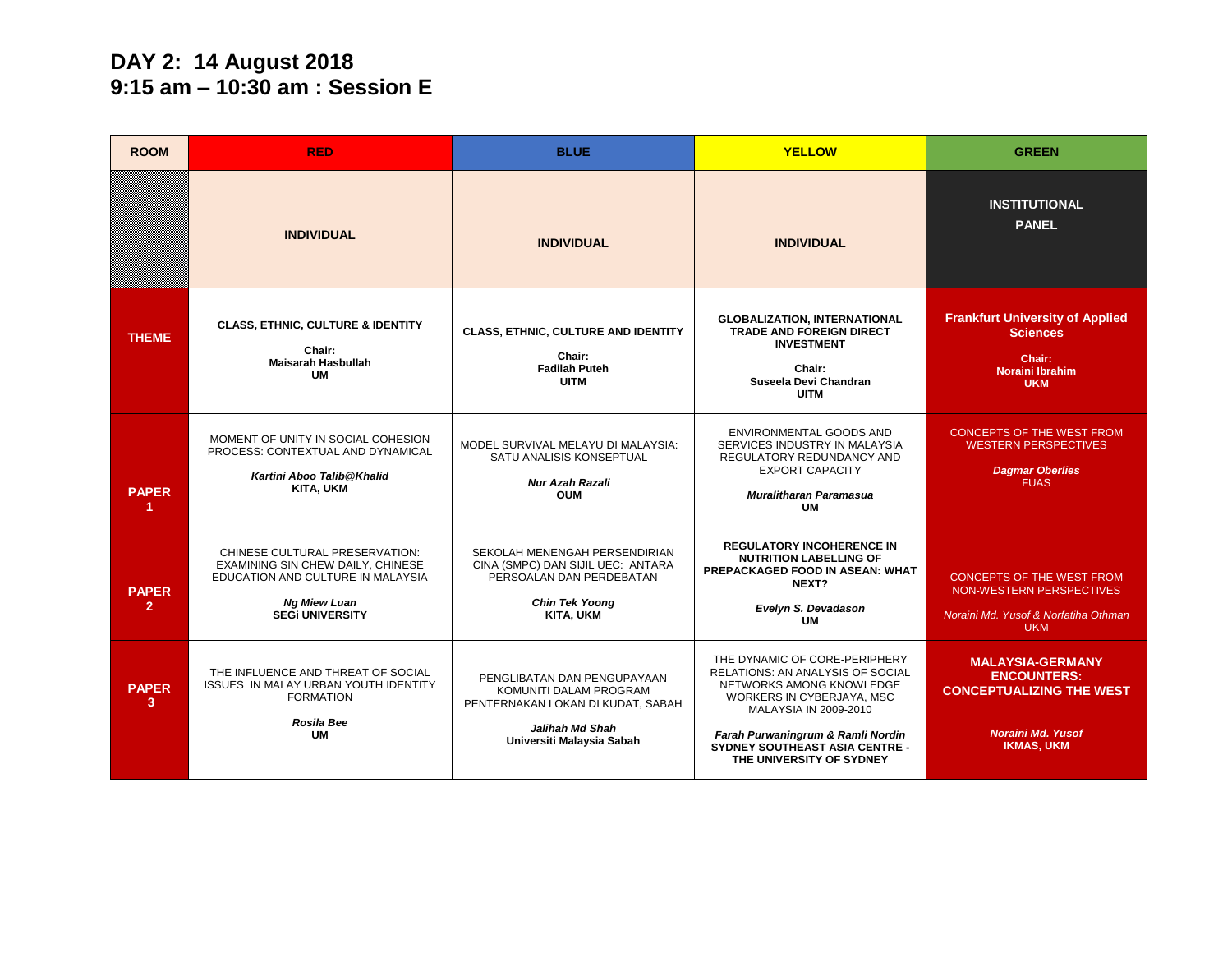#### **DAY 2: 14 August 2018 9:15 am – 10:30 am : Session E**

| <b>ROOM</b>                  | <b>RED</b>                                                                                                                                                       | <b>BLUE</b>                                                                                                                                       | <b>YELLOW</b>                                                                                                                                                                                                                                                 | <b>GREEN</b>                                                                                                                      |
|------------------------------|------------------------------------------------------------------------------------------------------------------------------------------------------------------|---------------------------------------------------------------------------------------------------------------------------------------------------|---------------------------------------------------------------------------------------------------------------------------------------------------------------------------------------------------------------------------------------------------------------|-----------------------------------------------------------------------------------------------------------------------------------|
|                              | <b>INDIVIDUAL</b>                                                                                                                                                | <b>INDIVIDUAL</b>                                                                                                                                 | <b>INDIVIDUAL</b>                                                                                                                                                                                                                                             | <b>INSTITUTIONAL</b><br><b>PANEL</b>                                                                                              |
| <b>THEME</b>                 | <b>CLASS, ETHNIC, CULTURE &amp; IDENTITY</b><br>Chair:<br><b>Maisarah Hasbullah</b><br><b>UM</b>                                                                 | CLASS, ETHNIC, CULTURE AND IDENTITY<br>Chair:<br><b>Fadilah Puteh</b><br><b>UITM</b>                                                              | <b>GLOBALIZATION, INTERNATIONAL</b><br>TRADE AND FOREIGN DIRECT<br><b>INVESTMENT</b><br>Chair:<br>Suseela Devi Chandran<br><b>UITM</b>                                                                                                                        | <b>Frankfurt University of Applied</b><br><b>Sciences</b><br>Chair:<br>Noraini Ibrahim<br><b>UKM</b>                              |
| <b>PAPER</b><br>-1.          | MOMENT OF UNITY IN SOCIAL COHESION<br>PROCESS: CONTEXTUAL AND DYNAMICAL<br>Kartini Aboo Talib@Khalid<br><b>KITA, UKM</b>                                         | MODEL SURVIVAL MELAYU DI MALAYSIA:<br>SATU ANALISIS KONSEPTUAL<br>Nur Azah Razali<br><b>OUM</b>                                                   | ENVIRONMENTAL GOODS AND<br>SERVICES INDUSTRY IN MALAYSIA<br>REGULATORY REDUNDANCY AND<br><b>EXPORT CAPACITY</b><br>Muralitharan Paramasua<br>UM                                                                                                               | <b>CONCEPTS OF THE WEST FROM</b><br><b>WESTERN PERSPECTIVES</b><br><b>Dagmar Oberlies</b><br><b>FUAS</b>                          |
| <b>PAPER</b><br>$\mathbf{2}$ | CHINESE CULTURAL PRESERVATION:<br><b>EXAMINING SIN CHEW DAILY, CHINESE</b><br>EDUCATION AND CULTURE IN MALAYSIA<br><b>Ng Miew Luan</b><br><b>SEGI UNIVERSITY</b> | SEKOLAH MENENGAH PERSENDIRIAN<br>CINA (SMPC) DAN SIJIL UEC: ANTARA<br>PERSOALAN DAN PERDEBATAN<br><b>Chin Tek Yoong</b><br>KITA, UKM              | <b>REGULATORY INCOHERENCE IN</b><br><b>NUTRITION LABELLING OF</b><br>PREPACKAGED FOOD IN ASEAN: WHAT<br>NEXT?<br>Evelyn S. Devadason<br><b>UM</b>                                                                                                             | <b>CONCEPTS OF THE WEST FROM</b><br>NON-WESTERN PERSPECTIVES<br>Noraini Md. Yusof & Norfatiha Othman<br><b>UKM</b>                |
| <b>PAPER</b><br>3            | THE INFLUENCE AND THREAT OF SOCIAL<br><b>ISSUES IN MALAY URBAN YOUTH IDENTITY</b><br><b>FORMATION</b><br><b>Rosila Bee</b><br>UM                                 | PENGLIBATAN DAN PENGUPAYAAN<br>KOMUNITI DALAM PROGRAM<br>PENTERNAKAN LOKAN DI KUDAT, SABAH<br><b>Jalihah Md Shah</b><br>Universiti Malaysia Sabah | THE DYNAMIC OF CORE-PERIPHERY<br><b>RELATIONS: AN ANALYSIS OF SOCIAL</b><br>NETWORKS AMONG KNOWLEDGE<br>WORKERS IN CYBERJAYA, MSC<br>MALAYSIA IN 2009-2010<br>Farah Purwaningrum & Ramli Nordin<br>SYDNEY SOUTHEAST ASIA CENTRE -<br>THE UNIVERSITY OF SYDNEY | <b>MALAYSIA-GERMANY</b><br><b>ENCOUNTERS:</b><br><b>CONCEPTUALIZING THE WEST</b><br><b>Noraini Md. Yusof</b><br><b>IKMAS, UKM</b> |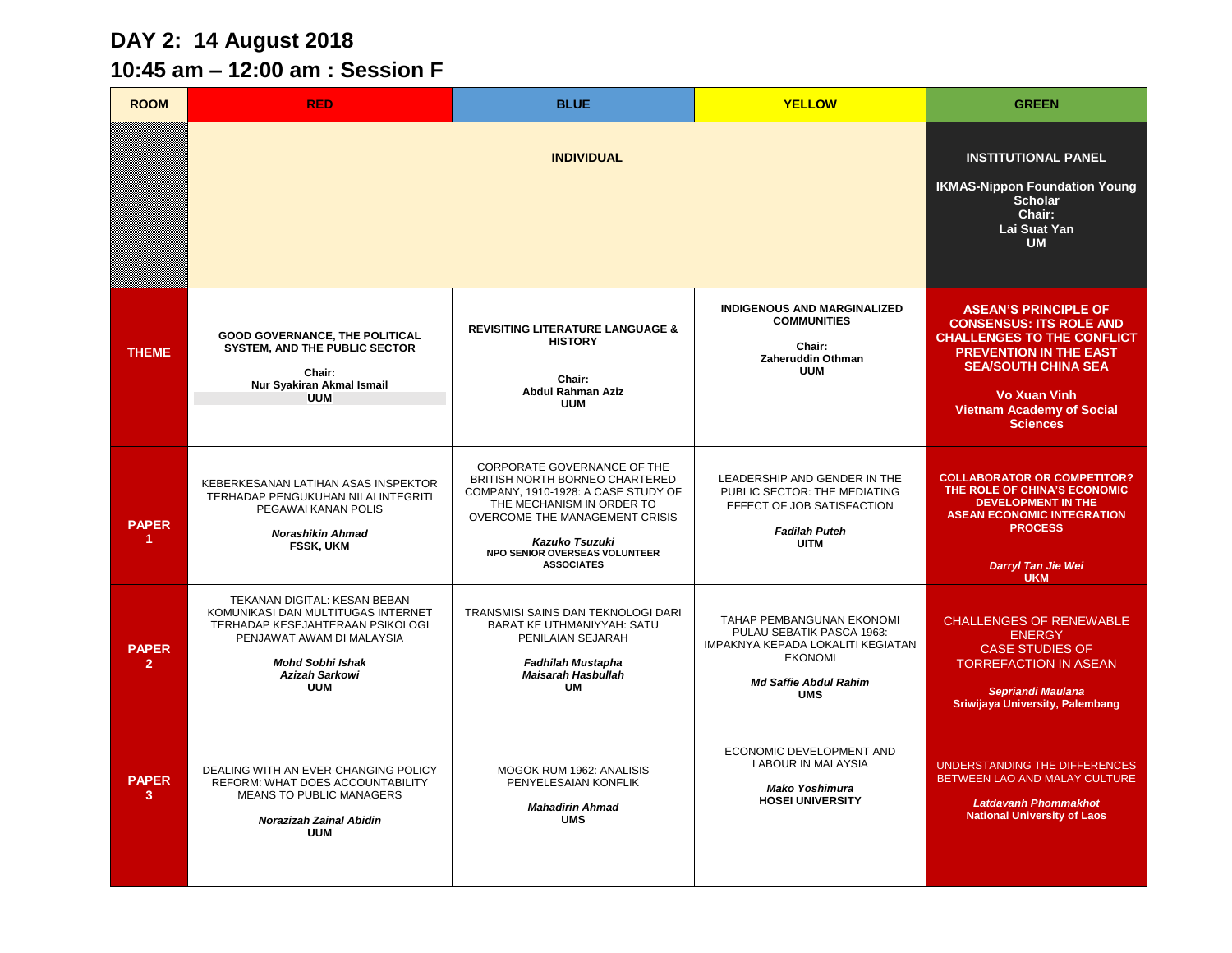## **DAY 2: 14 August 2018**

# **10:45 am – 12:00 am : Session F**

| <b>ROOM</b>                    | <b>RED</b>                                                                                                                                                                                            | <b>BLUE</b>                                                                                                                                                                                                                                 | <b>YELLOW</b>                                                                                                                                               | <b>GREEN</b>                                                                                                                                                                                                                                    |
|--------------------------------|-------------------------------------------------------------------------------------------------------------------------------------------------------------------------------------------------------|---------------------------------------------------------------------------------------------------------------------------------------------------------------------------------------------------------------------------------------------|-------------------------------------------------------------------------------------------------------------------------------------------------------------|-------------------------------------------------------------------------------------------------------------------------------------------------------------------------------------------------------------------------------------------------|
|                                |                                                                                                                                                                                                       | <b>INDIVIDUAL</b>                                                                                                                                                                                                                           |                                                                                                                                                             | <b>INSTITUTIONAL PANEL</b><br><b>IKMAS-Nippon Foundation Young</b><br><b>Scholar</b><br>Chair:<br>Lai Suat Yan<br><b>UM</b>                                                                                                                     |
| <b>THEME</b>                   | <b>GOOD GOVERNANCE, THE POLITICAL</b><br><b>SYSTEM, AND THE PUBLIC SECTOR</b><br>Chair:<br>Nur Syakiran Akmal Ismail<br><b>UUM</b>                                                                    | <b>REVISITING LITERATURE LANGUAGE &amp;</b><br><b>HISTORY</b><br>Chair:<br><b>Abdul Rahman Aziz</b><br><b>UUM</b>                                                                                                                           | <b>INDIGENOUS AND MARGINALIZED</b><br><b>COMMUNITIES</b><br>Chair:<br>Zaheruddin Othman<br><b>UUM</b>                                                       | <b>ASEAN'S PRINCIPLE OF</b><br><b>CONSENSUS: ITS ROLE AND</b><br><b>CHALLENGES TO THE CONFLICT</b><br><b>PREVENTION IN THE EAST</b><br><b>SEA/SOUTH CHINA SEA</b><br><b>Vo Xuan Vinh</b><br><b>Vietnam Academy of Social</b><br><b>Sciences</b> |
| <b>PAPER</b>                   | KEBERKESANAN LATIHAN ASAS INSPEKTOR<br>TERHADAP PENGUKUHAN NILAI INTEGRITI<br>PEGAWAI KANAN POLIS<br><b>Norashikin Ahmad</b><br><b>FSSK, UKM</b>                                                      | CORPORATE GOVERNANCE OF THE<br>BRITISH NORTH BORNEO CHARTERED<br>COMPANY, 1910-1928: A CASE STUDY OF<br>THE MECHANISM IN ORDER TO<br>OVERCOME THE MANAGEMENT CRISIS<br>Kazuko Tsuzuki<br>NPO SENIOR OVERSEAS VOLUNTEER<br><b>ASSOCIATES</b> | LEADERSHIP AND GENDER IN THE<br>PUBLIC SECTOR: THE MEDIATING<br>EFFECT OF JOB SATISFACTION<br><b>Fadilah Puteh</b><br><b>UITM</b>                           | <b>COLLABORATOR OR COMPETITOR?</b><br>THE ROLE OF CHINA'S ECONOMIC<br><b>DEVELOPMENT IN THE</b><br><b>ASEAN ECONOMIC INTEGRATION</b><br><b>PROCESS</b><br>Darryl Tan Jie Wei<br><b>UKM</b>                                                      |
| <b>PAPER</b><br>$\overline{2}$ | TEKANAN DIGITAL: KESAN BEBAN<br>KOMUNIKASI DAN MULTITUGAS INTERNET<br>TERHADAP KESEJAHTERAAN PSIKOLOGI<br>PENJAWAT AWAM DI MALAYSIA<br><b>Mohd Sobhi Ishak</b><br><b>Azizah Sarkowi</b><br><b>UUM</b> | TRANSMISI SAINS DAN TEKNOLOGI DARI<br>BARAT KE UTHMANIYYAH: SATU<br>PENILAIAN SEJARAH<br><b>Fadhilah Mustapha</b><br><b>Maisarah Hasbullah</b><br><b>UM</b>                                                                                 | TAHAP PEMBANGUNAN EKONOMI<br>PULAU SEBATIK PASCA 1963:<br>IMPAKNYA KEPADA LOKALITI KEGIATAN<br><b>EKONOMI</b><br><b>Md Saffie Abdul Rahim</b><br><b>UMS</b> | <b>CHALLENGES OF RENEWABLE</b><br><b>ENERGY</b><br><b>CASE STUDIES OF</b><br><b>TORREFACTION IN ASEAN</b><br>Sepriandi Maulana<br>Sriwijaya University, Palembang                                                                               |
| <b>PAPER</b><br>$\mathbf{3}$   | DEALING WITH AN EVER-CHANGING POLICY<br>REFORM: WHAT DOES ACCOUNTABILITY<br><b>MEANS TO PUBLIC MANAGERS</b><br><b>Norazizah Zainal Abidin</b><br><b>UUM</b>                                           | MOGOK RUM 1962: ANALISIS<br>PENYELESAIAN KONFLIK<br><b>Mahadirin Ahmad</b><br><b>UMS</b>                                                                                                                                                    | ECONOMIC DEVELOPMENT AND<br>LABOUR IN MALAYSIA<br><b>Mako Yoshimura</b><br><b>HOSEI UNIVERSITY</b>                                                          | UNDERSTANDING THE DIFFERENCES<br>BETWEEN LAO AND MALAY CULTURE<br><b>Latdavanh Phommakhot</b><br><b>National University of Laos</b>                                                                                                             |